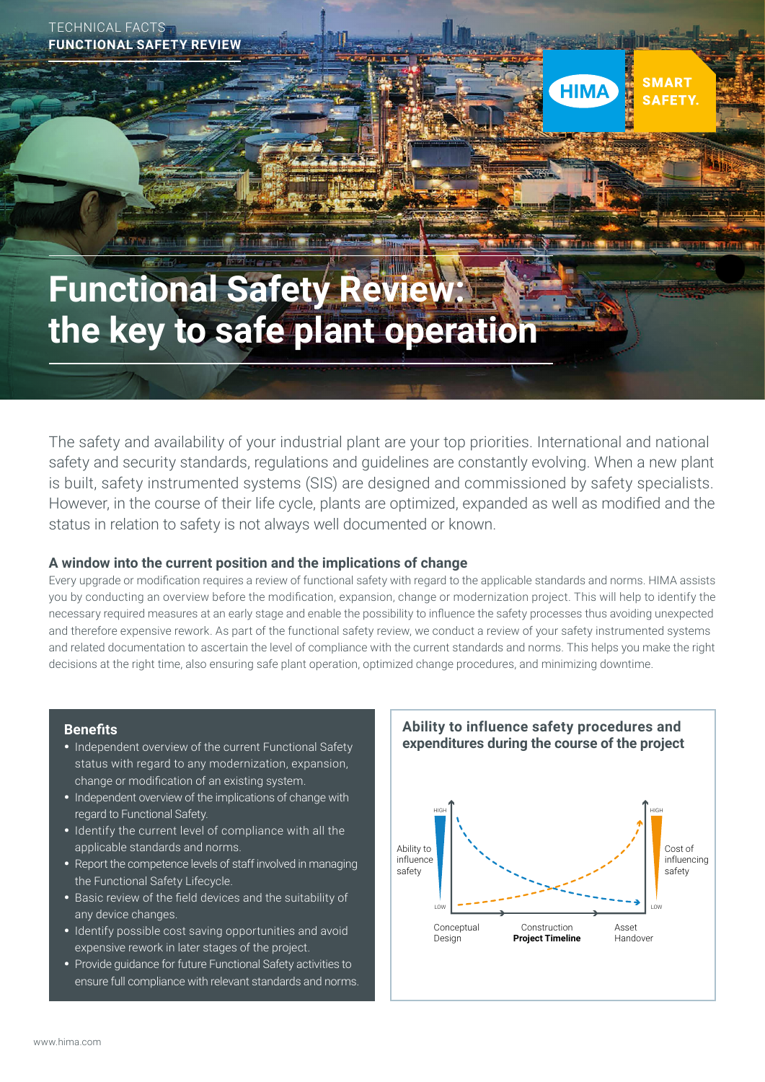

# **Functional Safety Review: the key to safe plant operation**

The safety and availability of your industrial plant are your top priorities. International and national safety and security standards, regulations and guidelines are constantly evolving. When a new plant is built, safety instrumented systems (SIS) are designed and commissioned by safety specialists. However, in the course of their life cycle, plants are optimized, expanded as well as modified and the status in relation to safety is not always well documented or known.

#### **A window into the current position and the implications of change**

Every upgrade or modification requires a review of functional safety with regard to the applicable standards and norms. HIMA assists you by conducting an overview before the modification, expansion, change or modernization project. This will help to identify the necessary required measures at an early stage and enable the possibility to influence the safety processes thus avoiding unexpected and therefore expensive rework. As part of the functional safety review, we conduct a review of your safety instrumented systems and related documentation to ascertain the level of compliance with the current standards and norms. This helps you make the right decisions at the right time, also ensuring safe plant operation, optimized change procedures, and minimizing downtime.

#### **Benefits**

- Independent overview of the current Functional Safety status with regard to any modernization, expansion, change or modification of an existing system.
- Independent overview of the implications of change with regard to Functional Safety.
- Identify the current level of compliance with all the applicable standards and norms.
- Report the competence levels of staff involved in managing the Functional Safety Lifecycle.
- Basic review of the field devices and the suitability of any device changes.
- Identify possible cost saving opportunities and avoid expensive rework in later stages of the project.
- Provide guidance for future Functional Safety activities to ensure full compliance with relevant standards and norms.



**SMART** 

**SAFETY** 

**HIMA**